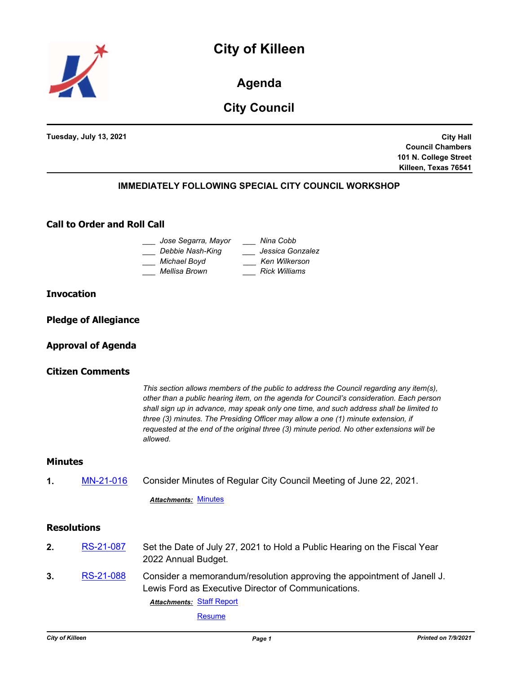



**Agenda**

# **City Council**

**Tuesday, July 13, 2021**

**City Hall Council Chambers 101 N. College Street Killeen, Texas 76541**

# **IMMEDIATELY FOLLOWING SPECIAL CITY COUNCIL WORKSHOP**

# **Call to Order and Roll Call**

| Nina Cobb        |
|------------------|
| Jessica Gonzalez |
| Ken Wilkerson    |
| Rick Williams    |
|                  |

### **Invocation**

**Pledge of Allegiance**

# **Approval of Agenda**

### **Citizen Comments**

*This section allows members of the public to address the Council regarding any item(s), other than a public hearing item, on the agenda for Council's consideration. Each person shall sign up in advance, may speak only one time, and such address shall be limited to three (3) minutes. The Presiding Officer may allow a one (1) minute extension, if requested at the end of the original three (3) minute period. No other extensions will be allowed.*

### **Minutes**

**1.** [MN-21-016](http://killeen.legistar.com/gateway.aspx?m=l&id=/matter.aspx?key=5541) Consider Minutes of Regular City Council Meeting of June 22, 2021.

*Attachments:* [Minutes](http://killeen.legistar.com/gateway.aspx?M=F&ID=23da73e9-fbcb-41d0-8982-ff4c3efe7b24.pdf)

### **Resolutions**

- **2.** [RS-21-087](http://killeen.legistar.com/gateway.aspx?m=l&id=/matter.aspx?key=5548) Set the Date of July 27, 2021 to Hold a Public Hearing on the Fiscal Year 2022 Annual Budget.
- **3.** [RS-21-088](http://killeen.legistar.com/gateway.aspx?m=l&id=/matter.aspx?key=5586) Consider a memorandum/resolution approving the appointment of Janell J. Lewis Ford as Executive Director of Communications. **Attachments: [Staff Report](http://killeen.legistar.com/gateway.aspx?M=F&ID=dd0955aa-7e83-4461-ab11-a32f9a24d658.pdf)**

[Resume](http://killeen.legistar.com/gateway.aspx?M=F&ID=34ad3fd7-b144-4de3-b3e4-facf7e6afd0f.pdf)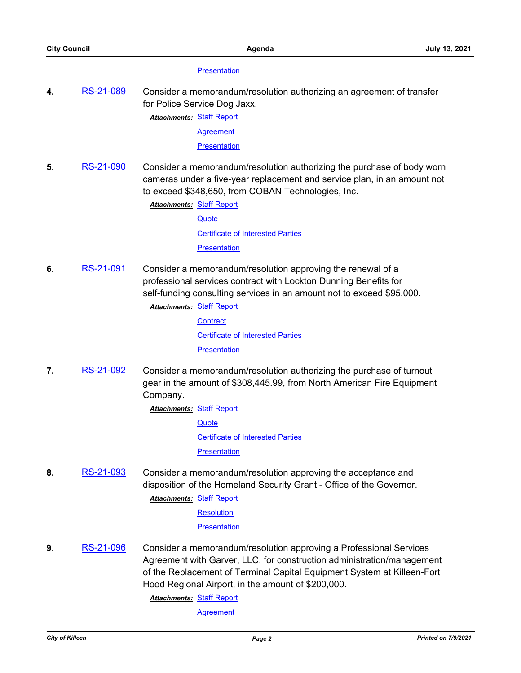#### **[Presentation](http://killeen.legistar.com/gateway.aspx?M=F&ID=b5e3f5d4-94a5-44cc-aee8-a73a1e3df7a6.pdf)**

**4.** [RS-21-089](http://killeen.legistar.com/gateway.aspx?m=l&id=/matter.aspx?key=5505) Consider a memorandum/resolution authorizing an agreement of transfer for Police Service Dog Jaxx.

**Attachments: [Staff Report](http://killeen.legistar.com/gateway.aspx?M=F&ID=9bea54bb-6775-4e76-b578-ce2db9e7c1f5.pdf)** 

**[Agreement](http://killeen.legistar.com/gateway.aspx?M=F&ID=c2aec4f0-f6a4-447b-9a46-5b24b84eabaa.pdf)** 

**[Presentation](http://killeen.legistar.com/gateway.aspx?M=F&ID=7be2ce9d-59ee-4d51-b002-1274de874bfc.pdf)** 

**5.** [RS-21-090](http://killeen.legistar.com/gateway.aspx?m=l&id=/matter.aspx?key=5542) Consider a memorandum/resolution authorizing the purchase of body worn cameras under a five-year replacement and service plan, in an amount not to exceed \$348,650, from COBAN Technologies, Inc.

**Attachments: [Staff Report](http://killeen.legistar.com/gateway.aspx?M=F&ID=42b9f800-b9e9-4458-a7d3-50f8b37f0178.pdf)** 

**[Quote](http://killeen.legistar.com/gateway.aspx?M=F&ID=963da0eb-42ee-42da-bfce-7825c8f61c0c.pdf)** [Certificate of Interested Parties](http://killeen.legistar.com/gateway.aspx?M=F&ID=bdaa99a4-9825-46a6-be58-4187c0e192e4.pdf) **[Presentation](http://killeen.legistar.com/gateway.aspx?M=F&ID=e13f457a-2136-4a2d-8d04-32d6d199e992.pdf)** 

**6.** [RS-21-091](http://killeen.legistar.com/gateway.aspx?m=l&id=/matter.aspx?key=5532) Consider a memorandum/resolution approving the renewal of a professional services contract with Lockton Dunning Benefits for self-funding consulting services in an amount not to exceed \$95,000.

**Attachments: [Staff Report](http://killeen.legistar.com/gateway.aspx?M=F&ID=64e2421f-3264-4655-8471-c90724494e8d.pdf)** 

**[Contract](http://killeen.legistar.com/gateway.aspx?M=F&ID=b7a2224f-9124-4a42-9914-fa3798942c03.pdf)** [Certificate of Interested Parties](http://killeen.legistar.com/gateway.aspx?M=F&ID=ebf4be37-52ee-47a7-9826-ab9baa614490.pdf) **[Presentation](http://killeen.legistar.com/gateway.aspx?M=F&ID=d0d85977-0214-443e-9f1f-91cd09ed3ee2.pdf)** 

**7.** [RS-21-092](http://killeen.legistar.com/gateway.aspx?m=l&id=/matter.aspx?key=5538) Consider a memorandum/resolution authorizing the purchase of turnout gear in the amount of \$308,445.99, from North American Fire Equipment Company.

> **Attachments: [Staff Report](http://killeen.legistar.com/gateway.aspx?M=F&ID=692a9292-ff18-40df-8ec4-34dc4d3ad324.pdf) [Quote](http://killeen.legistar.com/gateway.aspx?M=F&ID=d6bd5fec-20ec-4f2a-b345-bbc32bc9bfdb.pdf)** [Certificate of Interested Parties](http://killeen.legistar.com/gateway.aspx?M=F&ID=e8b1f123-e92b-4ac5-b642-f9e557f2f628.pdf) **[Presentation](http://killeen.legistar.com/gateway.aspx?M=F&ID=f5c9ddf6-2d98-4c1f-ba39-5bd064085b0a.pdf)**

**8.** [RS-21-093](http://killeen.legistar.com/gateway.aspx?m=l&id=/matter.aspx?key=5552) Consider a memorandum/resolution approving the acceptance and disposition of the Homeland Security Grant - Office of the Governor.

**Attachments: [Staff Report](http://killeen.legistar.com/gateway.aspx?M=F&ID=ca7a3c8d-25cd-4f77-868c-4c5cb55a3c55.pdf)** 

**[Resolution](http://killeen.legistar.com/gateway.aspx?M=F&ID=e88e792e-1dfa-4ff7-8c53-fda3b2a98f29.pdf)** 

**[Presentation](http://killeen.legistar.com/gateway.aspx?M=F&ID=1f18651b-e63b-4a46-8da3-93e20971c387.pdf)** 

**9.** [RS-21-096](http://killeen.legistar.com/gateway.aspx?m=l&id=/matter.aspx?key=5555) Consider a memorandum/resolution approving a Professional Services Agreement with Garver, LLC, for construction administration/management of the Replacement of Terminal Capital Equipment System at Killeen-Fort Hood Regional Airport, in the amount of \$200,000.

**Attachments: [Staff Report](http://killeen.legistar.com/gateway.aspx?M=F&ID=289d9269-a7b9-4f82-9f88-2d00ad2ec050.pdf)** 

**[Agreement](http://killeen.legistar.com/gateway.aspx?M=F&ID=e287c7b2-4eb7-40e9-b6a7-d36226c7f8a3.pdf)**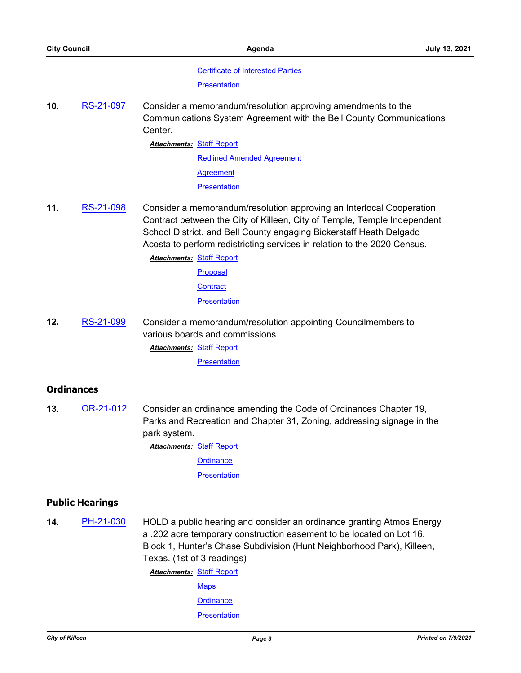#### [Certificate of Interested Parties](http://killeen.legistar.com/gateway.aspx?M=F&ID=b2813589-e3c6-4a1f-a52a-eff8a38878c6.pdf)

**[Presentation](http://killeen.legistar.com/gateway.aspx?M=F&ID=448fcc49-1fa9-4390-96f7-111df79af082.pdf)** 

**10.** [RS-21-097](http://killeen.legistar.com/gateway.aspx?m=l&id=/matter.aspx?key=5557) Consider a memorandum/resolution approving amendments to the Communications System Agreement with the Bell County Communications Center.

**Attachments: [Staff Report](http://killeen.legistar.com/gateway.aspx?M=F&ID=13c1574f-735a-40a9-9a63-09c9fc4358d9.pdf)** 

[Redlined Amended Agreement](http://killeen.legistar.com/gateway.aspx?M=F&ID=46dd2bfe-2984-4085-b10a-89d4036b82cd.pdf) **[Agreement](http://killeen.legistar.com/gateway.aspx?M=F&ID=4f965872-d6d1-4409-8bf2-4a8ab49ba39d.PDF) [Presentation](http://killeen.legistar.com/gateway.aspx?M=F&ID=8f4948e8-9243-45b2-b801-0e762f714fd5.pdf)** 

**11.** [RS-21-098](http://killeen.legistar.com/gateway.aspx?m=l&id=/matter.aspx?key=5558) Consider a memorandum/resolution approving an Interlocal Cooperation Contract between the City of Killeen, City of Temple, Temple Independent School District, and Bell County engaging Bickerstaff Heath Delgado Acosta to perform redistricting services in relation to the 2020 Census.

**Attachments: [Staff Report](http://killeen.legistar.com/gateway.aspx?M=F&ID=0cb9441a-d031-4a75-b000-6c8d41c68a6b.pdf)** 

[Proposal](http://killeen.legistar.com/gateway.aspx?M=F&ID=22759815-bf02-43c1-a1e5-c53694ea763b.pdf)

**[Contract](http://killeen.legistar.com/gateway.aspx?M=F&ID=6796414b-8681-4732-8ad1-0b61c5888394.pdf)** 

**[Presentation](http://killeen.legistar.com/gateway.aspx?M=F&ID=94e927a6-519a-4c7d-920e-9b7e67221424.pdf)** 

**12.** [RS-21-099](http://killeen.legistar.com/gateway.aspx?m=l&id=/matter.aspx?key=5583) Consider a memorandum/resolution appointing Councilmembers to various boards and commissions.

**Attachments: [Staff Report](http://killeen.legistar.com/gateway.aspx?M=F&ID=39a61e50-15fa-4157-ba7d-033fa01c7db5.pdf)** 

**[Presentation](http://killeen.legistar.com/gateway.aspx?M=F&ID=ce9a2597-3918-4c81-885c-6c2f862e3242.pdf)** 

# **Ordinances**

**13.** [OR-21-012](http://killeen.legistar.com/gateway.aspx?m=l&id=/matter.aspx?key=5565) Consider an ordinance amending the Code of Ordinances Chapter 19, Parks and Recreation and Chapter 31, Zoning, addressing signage in the park system.

**Attachments: [Staff Report](http://killeen.legistar.com/gateway.aspx?M=F&ID=91073056-0fa5-45b5-b518-918fbd55bcb0.pdf)** 

**[Ordinance](http://killeen.legistar.com/gateway.aspx?M=F&ID=88a547f4-0c08-48c8-bfc5-9a78bfcfc727.pdf)** 

**[Presentation](http://killeen.legistar.com/gateway.aspx?M=F&ID=6aef2611-518a-45ff-8ade-a8a5d78eee99.pdf)** 

# **Public Hearings**

**14.** [PH-21-030](http://killeen.legistar.com/gateway.aspx?m=l&id=/matter.aspx?key=5564) HOLD a public hearing and consider an ordinance granting Atmos Energy a .202 acre temporary construction easement to be located on Lot 16, Block 1, Hunter's Chase Subdivision (Hunt Neighborhood Park), Killeen, Texas. (1st of 3 readings) **Attachments: [Staff Report](http://killeen.legistar.com/gateway.aspx?M=F&ID=0ed027cb-6f76-4780-8866-522a796f954d.pdf)** 

> **[Maps](http://killeen.legistar.com/gateway.aspx?M=F&ID=8847f1cd-9ee0-4bea-8079-4b59fd76d916.pdf) [Ordinance](http://killeen.legistar.com/gateway.aspx?M=F&ID=44d13e7b-ff0b-46a4-a622-b465ba434e2d.pdf)**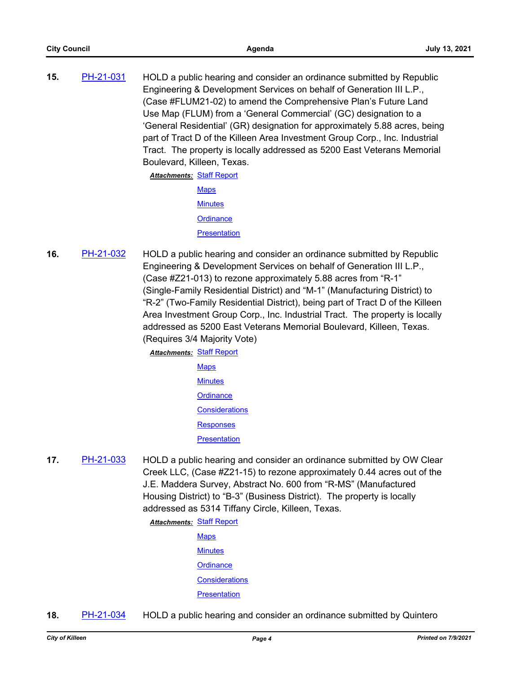**15.** [PH-21-031](http://killeen.legistar.com/gateway.aspx?m=l&id=/matter.aspx?key=5543) HOLD a public hearing and consider an ordinance submitted by Republic Engineering & Development Services on behalf of Generation III L.P., (Case #FLUM21-02) to amend the Comprehensive Plan's Future Land Use Map (FLUM) from a 'General Commercial' (GC) designation to a 'General Residential' (GR) designation for approximately 5.88 acres, being part of Tract D of the Killeen Area Investment Group Corp., Inc. Industrial Tract. The property is locally addressed as 5200 East Veterans Memorial Boulevard, Killeen, Texas.

**Attachments: [Staff Report](http://killeen.legistar.com/gateway.aspx?M=F&ID=3abc3a0a-30d5-4ac1-9608-bd0ce646298a.pdf)** 

**[Maps](http://killeen.legistar.com/gateway.aspx?M=F&ID=dbbc78e8-bd1a-42bd-8883-b2f864cad02d.pdf) [Minutes](http://killeen.legistar.com/gateway.aspx?M=F&ID=6b3e0327-6e94-4cd6-b4fb-947685c62161.pdf) [Ordinance](http://killeen.legistar.com/gateway.aspx?M=F&ID=ca7901d5-eb0f-4f94-9e4b-0753e5a49e39.pdf) [Presentation](http://killeen.legistar.com/gateway.aspx?M=F&ID=f7082068-01e8-413d-a0b0-7b512beca72a.pdf)** 

**16.** [PH-21-032](http://killeen.legistar.com/gateway.aspx?m=l&id=/matter.aspx?key=5544) HOLD a public hearing and consider an ordinance submitted by Republic Engineering & Development Services on behalf of Generation III L.P., (Case #Z21-013) to rezone approximately 5.88 acres from "R-1" (Single-Family Residential District) and "M-1" (Manufacturing District) to "R-2" (Two-Family Residential District), being part of Tract D of the Killeen Area Investment Group Corp., Inc. Industrial Tract. The property is locally addressed as 5200 East Veterans Memorial Boulevard, Killeen, Texas. (Requires 3/4 Majority Vote)

**Attachments: [Staff Report](http://killeen.legistar.com/gateway.aspx?M=F&ID=ecd746cb-61e2-4bcf-93fa-375d951b0772.pdf) [Maps](http://killeen.legistar.com/gateway.aspx?M=F&ID=e6fb1395-6a7c-42c2-954e-71f2aea93e61.pdf) [Minutes](http://killeen.legistar.com/gateway.aspx?M=F&ID=59e478e5-d982-4555-b7a0-1115018458eb.pdf) [Ordinance](http://killeen.legistar.com/gateway.aspx?M=F&ID=8b122aaf-922f-4b53-855b-b5f7dd4b537e.pdf) [Considerations](http://killeen.legistar.com/gateway.aspx?M=F&ID=2bc273c8-f967-49f0-89e1-83fbb96377de.pdf) [Responses](http://killeen.legistar.com/gateway.aspx?M=F&ID=650798d8-af17-43ff-9a16-0ca00fa51723.pdf) [Presentation](http://killeen.legistar.com/gateway.aspx?M=F&ID=0b616604-cdbc-4e8b-b915-e1b473582e48.pdf)** 

**17.** [PH-21-033](http://killeen.legistar.com/gateway.aspx?m=l&id=/matter.aspx?key=5545) HOLD a public hearing and consider an ordinance submitted by OW Clear Creek LLC, (Case #Z21-15) to rezone approximately 0.44 acres out of the J.E. Maddera Survey, Abstract No. 600 from "R-MS" (Manufactured Housing District) to "B-3" (Business District). The property is locally addressed as 5314 Tiffany Circle, Killeen, Texas.

> **Attachments: [Staff Report](http://killeen.legistar.com/gateway.aspx?M=F&ID=ef291f6d-3a91-4c03-b0c2-f07e7ac8e112.pdf) [Maps](http://killeen.legistar.com/gateway.aspx?M=F&ID=1897128a-0e5f-49d4-988f-ca59d0e1a703.pdf)**

**[Minutes](http://killeen.legistar.com/gateway.aspx?M=F&ID=2dd86b0f-c485-42be-b5af-e42a066ba170.pdf)** 

**[Ordinance](http://killeen.legistar.com/gateway.aspx?M=F&ID=9c2a6e46-7a52-4195-a721-1a5d7ef44607.pdf)** 

**[Considerations](http://killeen.legistar.com/gateway.aspx?M=F&ID=89d748d8-603a-46ee-9ed9-1a95dc1d4c0c.pdf)** 

**[Presentation](http://killeen.legistar.com/gateway.aspx?M=F&ID=d509e37e-ffd6-43a3-9321-c8508951f98f.pdf)** 

**18.** [PH-21-034](http://killeen.legistar.com/gateway.aspx?m=l&id=/matter.aspx?key=5547) HOLD a public hearing and consider an ordinance submitted by Quintero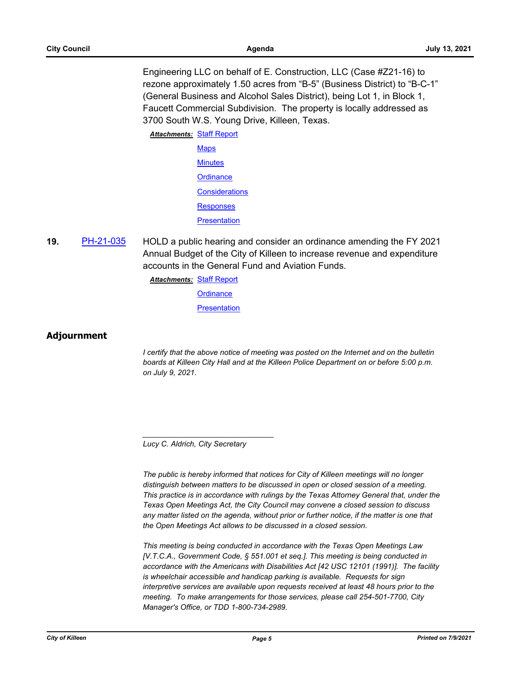Engineering LLC on behalf of E. Construction, LLC (Case #Z21-16) to rezone approximately 1.50 acres from "B-5" (Business District) to "B-C-1" (General Business and Alcohol Sales District), being Lot 1, in Block 1, Faucett Commercial Subdivision. The property is locally addressed as 3700 South W.S. Young Drive, Killeen, Texas.

**Attachments: [Staff Report](http://killeen.legistar.com/gateway.aspx?M=F&ID=7c2ffefb-4ac1-45be-9233-522693bf28cf.pdf) [Maps](http://killeen.legistar.com/gateway.aspx?M=F&ID=99cd4beb-7f83-4348-8708-fa73619b55fa.pdf) [Minutes](http://killeen.legistar.com/gateway.aspx?M=F&ID=71d3f0d8-3cb1-497a-ad40-b83a10c11356.pdf) [Ordinance](http://killeen.legistar.com/gateway.aspx?M=F&ID=f1805697-51e0-4654-a410-afd84bd40931.pdf) [Considerations](http://killeen.legistar.com/gateway.aspx?M=F&ID=e8ef24cd-9aaf-4cf7-a947-6812e5d226f6.pdf)** [Responses](http://killeen.legistar.com/gateway.aspx?M=F&ID=5b151d82-6d1c-4989-9cf0-a6ad532a4795.pdf) **[Presentation](http://killeen.legistar.com/gateway.aspx?M=F&ID=a0509ef3-2d1e-46cb-8cbb-1e5772f33838.pdf)** 

**19.** [PH-21-035](http://killeen.legistar.com/gateway.aspx?m=l&id=/matter.aspx?key=5566) HOLD a public hearing and consider an ordinance amending the FY 2021 Annual Budget of the City of Killeen to increase revenue and expenditure accounts in the General Fund and Aviation Funds.

**Attachments: [Staff Report](http://killeen.legistar.com/gateway.aspx?M=F&ID=3d2a0068-5540-4845-a0eb-a608374e1f55.pdf)** 

**[Ordinance](http://killeen.legistar.com/gateway.aspx?M=F&ID=ad14f71f-e93f-4fa2-86a2-85eb9e770baa.pdf)** 

**[Presentation](http://killeen.legistar.com/gateway.aspx?M=F&ID=b96e29a9-d396-4fa7-a8d9-223909956abd.pdf)** 

# **Adjournment**

*I* certify that the above notice of meeting was posted on the Internet and on the bulletin *boards at Killeen City Hall and at the Killeen Police Department on or before 5:00 p.m. on July 9, 2021.*

*Lucy C. Aldrich, City Secretary* 

*\_\_\_\_\_\_\_\_\_\_\_\_\_\_\_\_\_\_\_\_\_\_\_\_\_\_\_\_\_\_\_*

*The public is hereby informed that notices for City of Killeen meetings will no longer distinguish between matters to be discussed in open or closed session of a meeting. This practice is in accordance with rulings by the Texas Attorney General that, under the Texas Open Meetings Act, the City Council may convene a closed session to discuss any matter listed on the agenda, without prior or further notice, if the matter is one that the Open Meetings Act allows to be discussed in a closed session.*

*This meeting is being conducted in accordance with the Texas Open Meetings Law [V.T.C.A., Government Code, § 551.001 et seq.]. This meeting is being conducted in accordance with the Americans with Disabilities Act [42 USC 12101 (1991)]. The facility is wheelchair accessible and handicap parking is available. Requests for sign interpretive services are available upon requests received at least 48 hours prior to the meeting. To make arrangements for those services, please call 254-501-7700, City Manager's Office, or TDD 1-800-734-2989.*